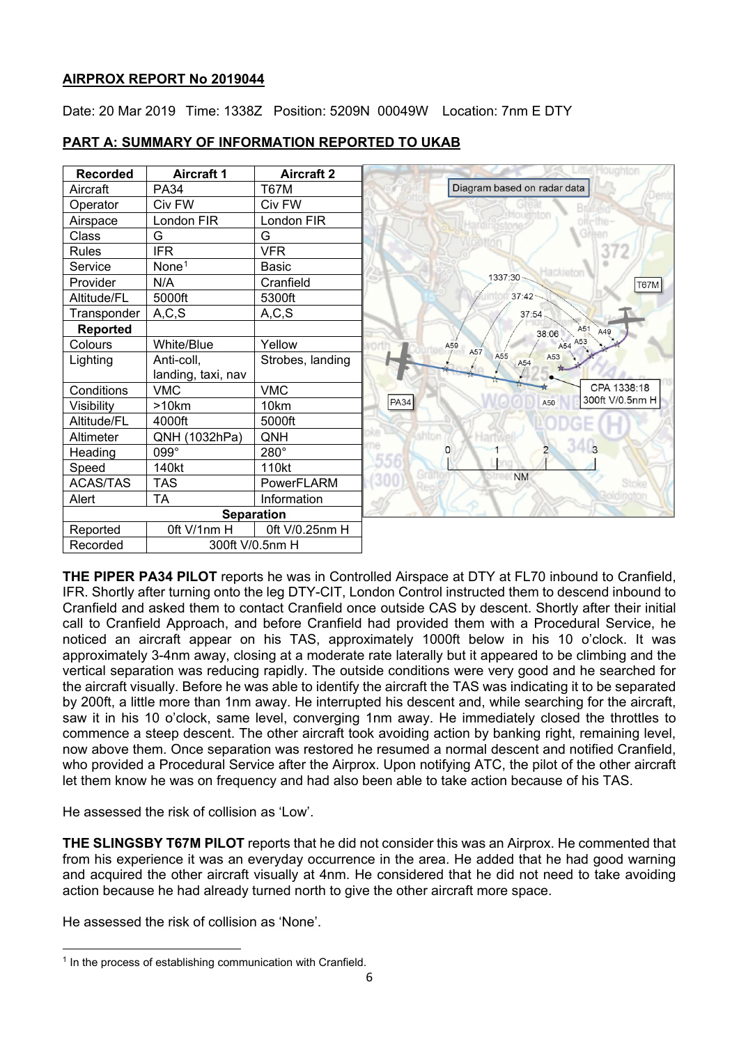# **AIRPROX REPORT No 2019044**

Date: 20 Mar 2019 Time: 1338Z Position: 5209N 00049W Location: 7nm E DTY



# **PART A: SUMMARY OF INFORMATION REPORTED TO UKAB**

**THE PIPER PA34 PILOT** reports he was in Controlled Airspace at DTY at FL70 inbound to Cranfield, IFR. Shortly after turning onto the leg DTY-CIT, London Control instructed them to descend inbound to Cranfield and asked them to contact Cranfield once outside CAS by descent. Shortly after their initial call to Cranfield Approach, and before Cranfield had provided them with a Procedural Service, he noticed an aircraft appear on his TAS, approximately 1000ft below in his 10 o'clock. It was approximately 3-4nm away, closing at a moderate rate laterally but it appeared to be climbing and the vertical separation was reducing rapidly. The outside conditions were very good and he searched for the aircraft visually. Before he was able to identify the aircraft the TAS was indicating it to be separated by 200ft, a little more than 1nm away. He interrupted his descent and, while searching for the aircraft, saw it in his 10 o'clock, same level, converging 1nm away. He immediately closed the throttles to commence a steep descent. The other aircraft took avoiding action by banking right, remaining level, now above them. Once separation was restored he resumed a normal descent and notified Cranfield, who provided a Procedural Service after the Airprox. Upon notifying ATC, the pilot of the other aircraft let them know he was on frequency and had also been able to take action because of his TAS.

He assessed the risk of collision as 'Low'.

**THE SLINGSBY T67M PILOT** reports that he did not consider this was an Airprox. He commented that from his experience it was an everyday occurrence in the area. He added that he had good warning and acquired the other aircraft visually at 4nm. He considered that he did not need to take avoiding action because he had already turned north to give the other aircraft more space.

He assessed the risk of collision as 'None'.

<span id="page-0-0"></span> $\overline{a}$ <sup>1</sup> In the process of establishing communication with Cranfield.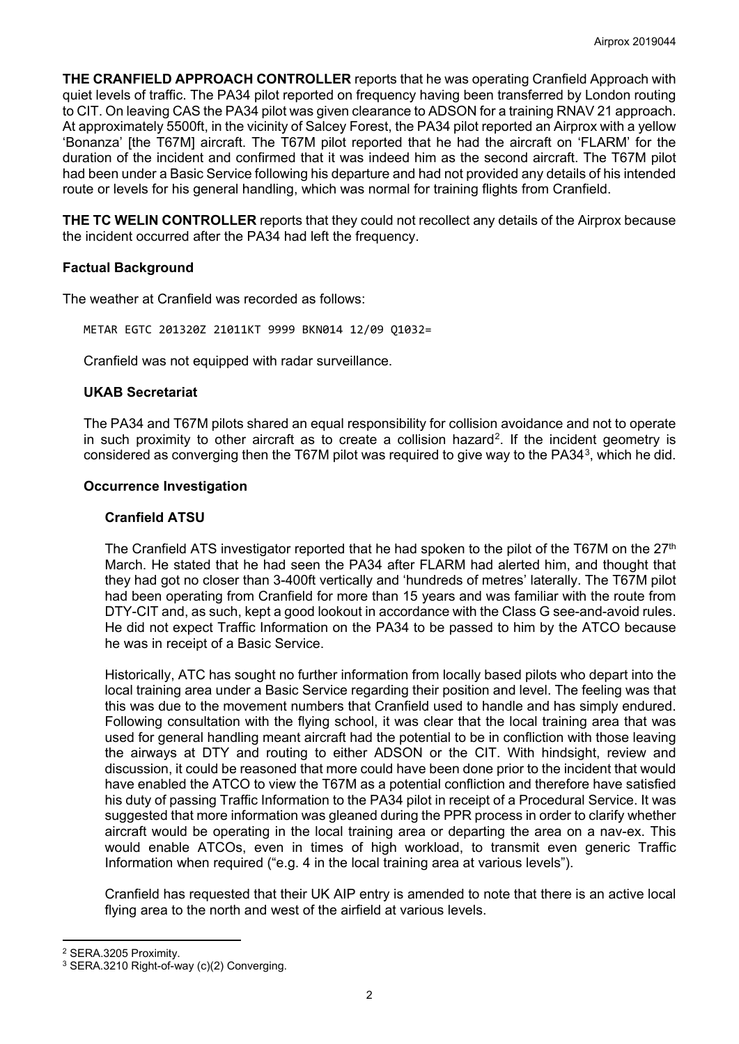**THE CRANFIELD APPROACH CONTROLLER** reports that he was operating Cranfield Approach with quiet levels of traffic. The PA34 pilot reported on frequency having been transferred by London routing to CIT. On leaving CAS the PA34 pilot was given clearance to ADSON for a training RNAV 21 approach. At approximately 5500ft, in the vicinity of Salcey Forest, the PA34 pilot reported an Airprox with a yellow 'Bonanza' [the T67M] aircraft. The T67M pilot reported that he had the aircraft on 'FLARM' for the duration of the incident and confirmed that it was indeed him as the second aircraft. The T67M pilot had been under a Basic Service following his departure and had not provided any details of his intended route or levels for his general handling, which was normal for training flights from Cranfield.

**THE TC WELIN CONTROLLER** reports that they could not recollect any details of the Airprox because the incident occurred after the PA34 had left the frequency.

# **Factual Background**

The weather at Cranfield was recorded as follows:

METAR EGTC 201320Z 21011KT 9999 BKN014 12/09 Q1032=

Cranfield was not equipped with radar surveillance.

# **UKAB Secretariat**

The PA34 and T67M pilots shared an equal responsibility for collision avoidance and not to operate in such proximity to other aircraft as to create a collision hazard<sup>2</sup>. If the incident geometry is considered as converging then the T67M pilot was required to give way to the PA34[3](#page-1-1), which he did.

# **Occurrence Investigation**

#### **Cranfield ATSU**

The Cranfield ATS investigator reported that he had spoken to the pilot of the T67M on the  $27<sup>th</sup>$ March. He stated that he had seen the PA34 after FLARM had alerted him, and thought that they had got no closer than 3-400ft vertically and 'hundreds of metres' laterally. The T67M pilot had been operating from Cranfield for more than 15 years and was familiar with the route from DTY-CIT and, as such, kept a good lookout in accordance with the Class G see-and-avoid rules. He did not expect Traffic Information on the PA34 to be passed to him by the ATCO because he was in receipt of a Basic Service.

Historically, ATC has sought no further information from locally based pilots who depart into the local training area under a Basic Service regarding their position and level. The feeling was that this was due to the movement numbers that Cranfield used to handle and has simply endured. Following consultation with the flying school, it was clear that the local training area that was used for general handling meant aircraft had the potential to be in confliction with those leaving the airways at DTY and routing to either ADSON or the CIT. With hindsight, review and discussion, it could be reasoned that more could have been done prior to the incident that would have enabled the ATCO to view the T67M as a potential confliction and therefore have satisfied his duty of passing Traffic Information to the PA34 pilot in receipt of a Procedural Service. It was suggested that more information was gleaned during the PPR process in order to clarify whether aircraft would be operating in the local training area or departing the area on a nav-ex. This would enable ATCOs, even in times of high workload, to transmit even generic Traffic Information when required ("e.g. 4 in the local training area at various levels").

Cranfield has requested that their UK AIP entry is amended to note that there is an active local flying area to the north and west of the airfield at various levels.

 $\overline{a}$ 

<span id="page-1-0"></span><sup>2</sup> SERA.3205 Proximity.

<span id="page-1-1"></span><sup>3</sup> SERA.3210 Right-of-way (c)(2) Converging.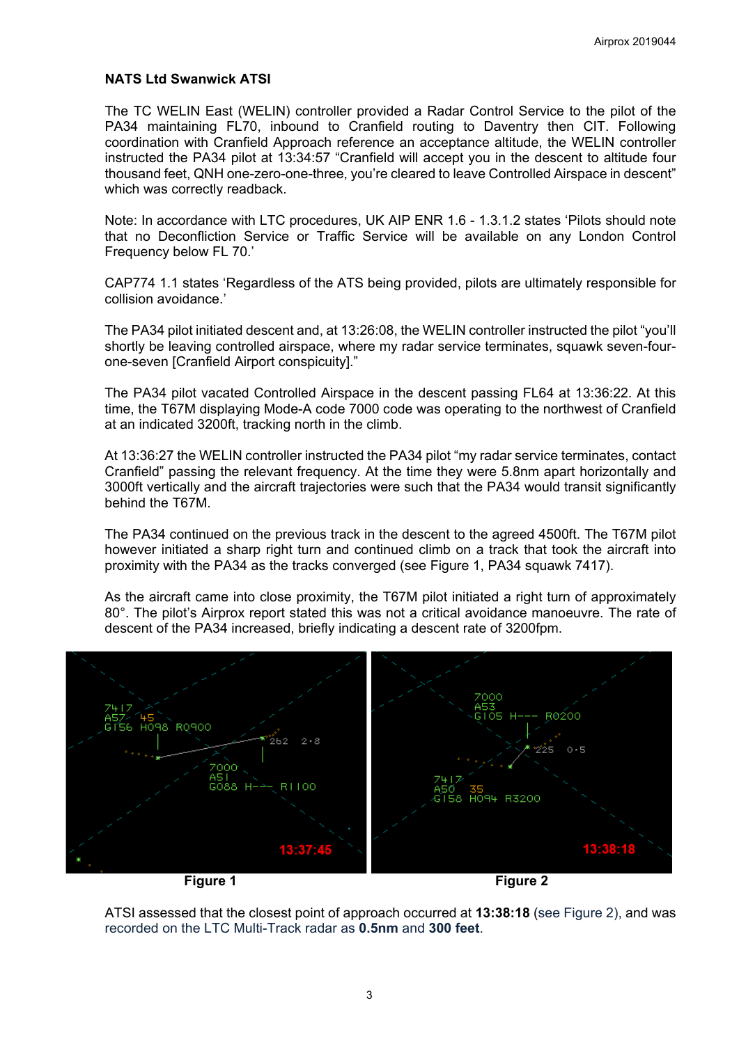#### **NATS Ltd Swanwick ATSI**

The TC WELIN East (WELIN) controller provided a Radar Control Service to the pilot of the PA34 maintaining FL70, inbound to Cranfield routing to Daventry then CIT. Following coordination with Cranfield Approach reference an acceptance altitude, the WELIN controller instructed the PA34 pilot at 13:34:57 "Cranfield will accept you in the descent to altitude four thousand feet, QNH one-zero-one-three, you're cleared to leave Controlled Airspace in descent" which was correctly readback.

Note: In accordance with LTC procedures, UK AIP ENR 1.6 - 1.3.1.2 states 'Pilots should note that no Deconfliction Service or Traffic Service will be available on any London Control Frequency below FL 70.'

CAP774 1.1 states 'Regardless of the ATS being provided, pilots are ultimately responsible for collision avoidance.'

The PA34 pilot initiated descent and, at 13:26:08, the WELIN controller instructed the pilot "you'll shortly be leaving controlled airspace, where my radar service terminates, squawk seven-fourone-seven [Cranfield Airport conspicuity]."

The PA34 pilot vacated Controlled Airspace in the descent passing FL64 at 13:36:22. At this time, the T67M displaying Mode-A code 7000 code was operating to the northwest of Cranfield at an indicated 3200ft, tracking north in the climb.

At 13:36:27 the WELIN controller instructed the PA34 pilot "my radar service terminates, contact Cranfield" passing the relevant frequency. At the time they were 5.8nm apart horizontally and 3000ft vertically and the aircraft trajectories were such that the PA34 would transit significantly behind the T67M.

The PA34 continued on the previous track in the descent to the agreed 4500ft. The T67M pilot however initiated a sharp right turn and continued climb on a track that took the aircraft into proximity with the PA34 as the tracks converged (see Figure 1, PA34 squawk 7417).

As the aircraft came into close proximity, the T67M pilot initiated a right turn of approximately 80°. The pilot's Airprox report stated this was not a critical avoidance manoeuvre. The rate of descent of the PA34 increased, briefly indicating a descent rate of 3200fpm.



ATSI assessed that the closest point of approach occurred at **13:38:18** (see Figure 2), and was recorded on the LTC Multi-Track radar as **0.5nm** and **300 feet**.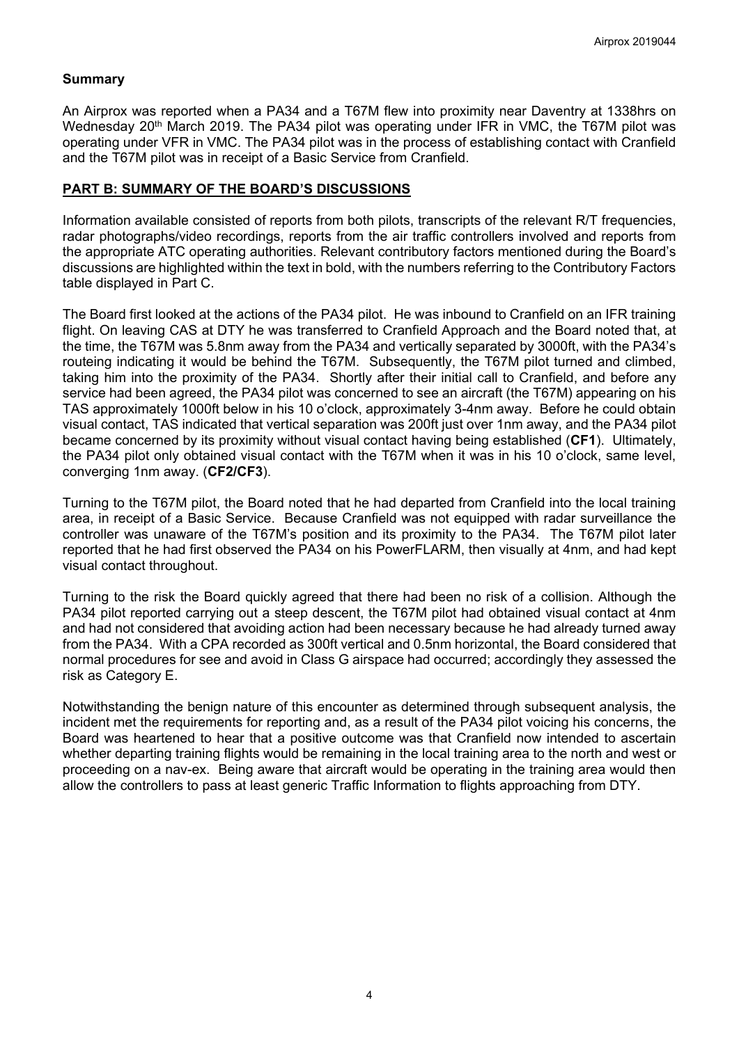# **Summary**

An Airprox was reported when a PA34 and a T67M flew into proximity near Daventry at 1338hrs on Wednesday 20<sup>th</sup> March 2019. The PA34 pilot was operating under IFR in VMC, the T67M pilot was operating under VFR in VMC. The PA34 pilot was in the process of establishing contact with Cranfield and the T67M pilot was in receipt of a Basic Service from Cranfield.

# **PART B: SUMMARY OF THE BOARD'S DISCUSSIONS**

Information available consisted of reports from both pilots, transcripts of the relevant R/T frequencies, radar photographs/video recordings, reports from the air traffic controllers involved and reports from the appropriate ATC operating authorities. Relevant contributory factors mentioned during the Board's discussions are highlighted within the text in bold, with the numbers referring to the Contributory Factors table displayed in Part C.

The Board first looked at the actions of the PA34 pilot. He was inbound to Cranfield on an IFR training flight. On leaving CAS at DTY he was transferred to Cranfield Approach and the Board noted that, at the time, the T67M was 5.8nm away from the PA34 and vertically separated by 3000ft, with the PA34's routeing indicating it would be behind the T67M. Subsequently, the T67M pilot turned and climbed, taking him into the proximity of the PA34. Shortly after their initial call to Cranfield, and before any service had been agreed, the PA34 pilot was concerned to see an aircraft (the T67M) appearing on his TAS approximately 1000ft below in his 10 o'clock, approximately 3-4nm away. Before he could obtain visual contact, TAS indicated that vertical separation was 200ft just over 1nm away, and the PA34 pilot became concerned by its proximity without visual contact having being established (**CF1**). Ultimately, the PA34 pilot only obtained visual contact with the T67M when it was in his 10 o'clock, same level, converging 1nm away. (**CF2/CF3**).

Turning to the T67M pilot, the Board noted that he had departed from Cranfield into the local training area, in receipt of a Basic Service. Because Cranfield was not equipped with radar surveillance the controller was unaware of the T67M's position and its proximity to the PA34. The T67M pilot later reported that he had first observed the PA34 on his PowerFLARM, then visually at 4nm, and had kept visual contact throughout.

Turning to the risk the Board quickly agreed that there had been no risk of a collision. Although the PA34 pilot reported carrying out a steep descent, the T67M pilot had obtained visual contact at 4nm and had not considered that avoiding action had been necessary because he had already turned away from the PA34. With a CPA recorded as 300ft vertical and 0.5nm horizontal, the Board considered that normal procedures for see and avoid in Class G airspace had occurred; accordingly they assessed the risk as Category E.

Notwithstanding the benign nature of this encounter as determined through subsequent analysis, the incident met the requirements for reporting and, as a result of the PA34 pilot voicing his concerns, the Board was heartened to hear that a positive outcome was that Cranfield now intended to ascertain whether departing training flights would be remaining in the local training area to the north and west or proceeding on a nav-ex. Being aware that aircraft would be operating in the training area would then allow the controllers to pass at least generic Traffic Information to flights approaching from DTY.